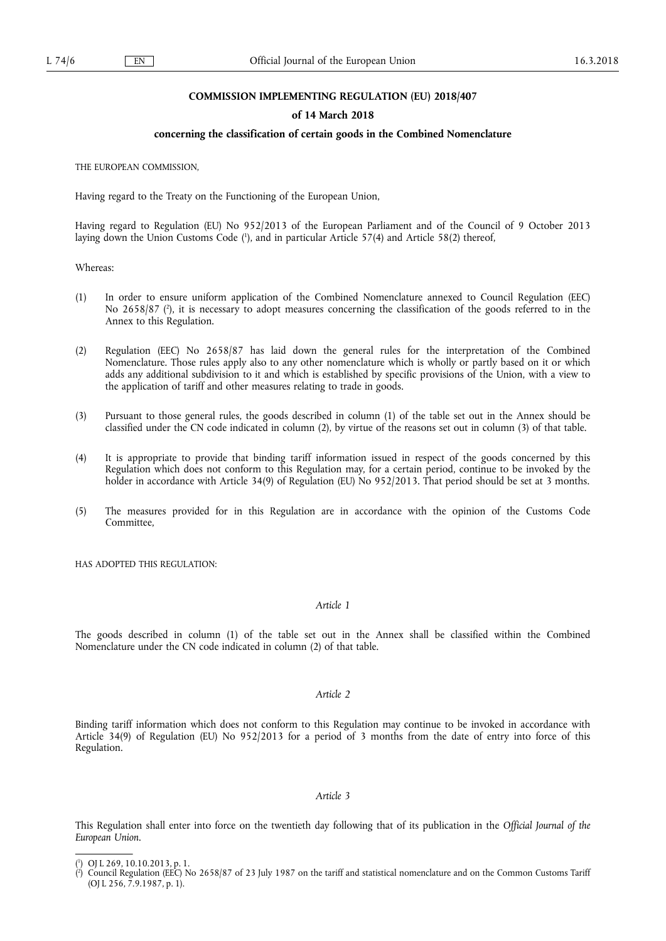#### **COMMISSION IMPLEMENTING REGULATION (EU) 2018/407**

## **of 14 March 2018**

#### **concerning the classification of certain goods in the Combined Nomenclature**

THE EUROPEAN COMMISSION,

Having regard to the Treaty on the Functioning of the European Union,

Having regard to Regulation (EU) No 952/2013 of the European Parliament and of the Council of 9 October 2013 laying down the Union Customs Code ( 1 ), and in particular Article 57(4) and Article 58(2) thereof,

Whereas:

- (1) In order to ensure uniform application of the Combined Nomenclature annexed to Council Regulation (EEC) No 2658/87 ( 2 ), it is necessary to adopt measures concerning the classification of the goods referred to in the Annex to this Regulation.
- (2) Regulation (EEC) No 2658/87 has laid down the general rules for the interpretation of the Combined Nomenclature. Those rules apply also to any other nomenclature which is wholly or partly based on it or which adds any additional subdivision to it and which is established by specific provisions of the Union, with a view to the application of tariff and other measures relating to trade in goods.
- (3) Pursuant to those general rules, the goods described in column (1) of the table set out in the Annex should be classified under the CN code indicated in column (2), by virtue of the reasons set out in column (3) of that table.
- (4) It is appropriate to provide that binding tariff information issued in respect of the goods concerned by this Regulation which does not conform to this Regulation may, for a certain period, continue to be invoked by the holder in accordance with Article 34(9) of Regulation (EU) No 952/2013. That period should be set at 3 months.
- (5) The measures provided for in this Regulation are in accordance with the opinion of the Customs Code **Committee**

HAS ADOPTED THIS REGULATION:

#### *Article 1*

The goods described in column (1) of the table set out in the Annex shall be classified within the Combined Nomenclature under the CN code indicated in column (2) of that table.

## *Article 2*

Binding tariff information which does not conform to this Regulation may continue to be invoked in accordance with Article 34(9) of Regulation (EU) No 952/2013 for a period of 3 months from the date of entry into force of this Regulation.

#### *Article 3*

This Regulation shall enter into force on the twentieth day following that of its publication in the *Official Journal of the European Union*.

<sup>(</sup> 1 ) OJ L 269, 10.10.2013, p. 1.

<sup>(</sup> 2 ) Council Regulation (EEC) No 2658/87 of 23 July 1987 on the tariff and statistical nomenclature and on the Common Customs Tariff (OJ L 256, 7.9.1987, p. 1).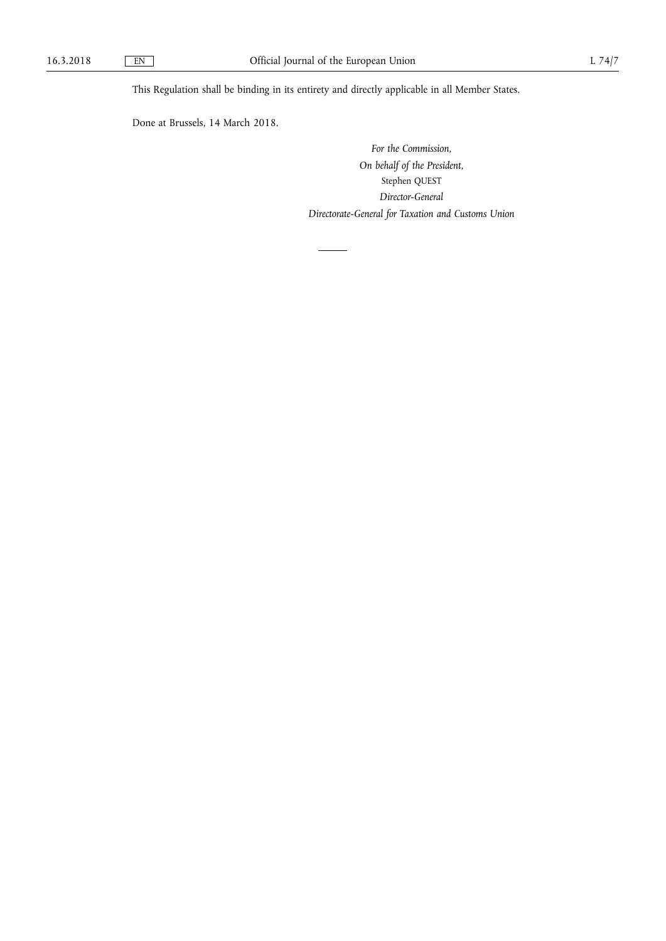This Regulation shall be binding in its entirety and directly applicable in all Member States.

Done at Brussels, 14 March 2018.

*For the Commission, On behalf of the President,*  Stephen QUEST *Director-General Directorate-General for Taxation and Customs Union*